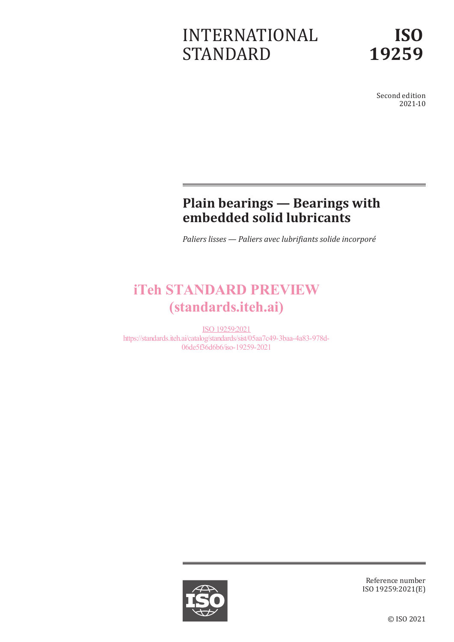# INTERNATIONAL STANDARD

Second edition 2021-10

## **Plain bearings — Bearings with embedded solid lubricants**

*Paliers lisses — Paliers avec lubrifiants solide incorporé*

## iTeh STANDARD PREVIEW (standards.iteh.ai)

ISO 19259:2021 https://standards.iteh.ai/catalog/standards/sist/05aa7c49-3baa-4a83-978d-06de5f36d6b6/iso-19259-2021



Reference number ISO 19259:2021(E)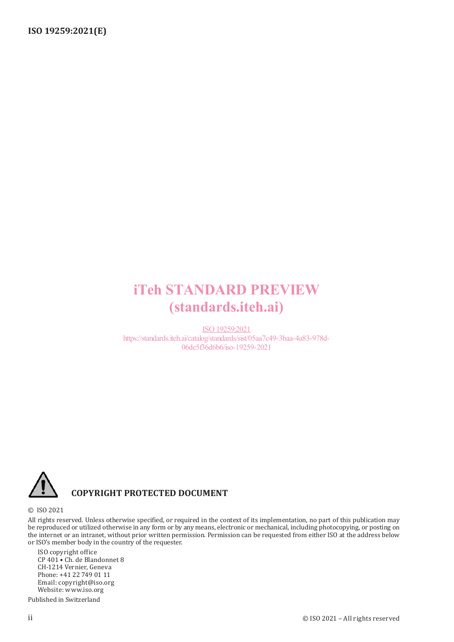## iTeh STANDARD PREVIEW (standards.iteh.ai)

ISO 19259:2021 https://standards.iteh.ai/catalog/standards/sist/05aa7c49-3baa-4a83-978d-06de5f36d6b6/iso-19259-2021



#### **COPYRIGHT PROTECTED DOCUMENT**

#### © ISO 2021

All rights reserved. Unless otherwise specified, or required in the context of its implementation, no part of this publication may be reproduced or utilized otherwise in any form or by any means, electronic or mechanical, including photocopying, or posting on the internet or an intranet, without prior written permission. Permission can be requested from either ISO at the address below or ISO's member body in the country of the requester.

ISO copyright office CP 401 • Ch. de Blandonnet 8 CH-1214 Vernier, Geneva Phone: +41 22 749 01 11 Email: copyright@iso.org Website: www.iso.org

Published in Switzerland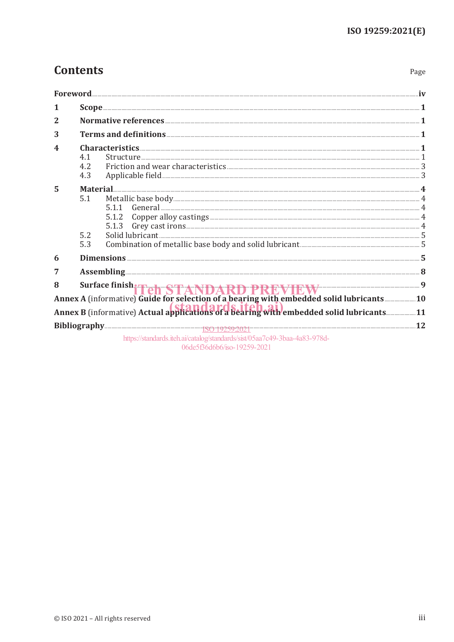Page

## **Contents**

|                |                                                                                                                                                                                                                                      | Foreword                                                                                                                                                                                                                       |     |  |  |
|----------------|--------------------------------------------------------------------------------------------------------------------------------------------------------------------------------------------------------------------------------------|--------------------------------------------------------------------------------------------------------------------------------------------------------------------------------------------------------------------------------|-----|--|--|
| 1              |                                                                                                                                                                                                                                      |                                                                                                                                                                                                                                |     |  |  |
| $\overline{2}$ | Normative references <b>contracts</b> and the set of the set of the set of the set of the set of the set of the set of the set of the set of the set of the set of the set of the set of the set of the set of the set of the set o  |                                                                                                                                                                                                                                |     |  |  |
| 3              | Terms and definitions <b>contract to the contract of the contract of the contract of the contract of the contract of the contract of the contract of the contract of the contract of the contract of the contract of the contrac</b> |                                                                                                                                                                                                                                |     |  |  |
| 4              | 4.1<br>4.2<br>4.3                                                                                                                                                                                                                    | $\textbf{Structure} \textcolor{red}{.} 1$                                                                                                                                                                                      |     |  |  |
| 5              | 5.1<br>5.2<br>5.3                                                                                                                                                                                                                    | 5.1.1<br>5.1.2<br>5.1.3                                                                                                                                                                                                        |     |  |  |
| 6              |                                                                                                                                                                                                                                      |                                                                                                                                                                                                                                |     |  |  |
| 7              |                                                                                                                                                                                                                                      | Assembling 38 and 38 and 38 and 38 and 38 and 38 and 38 and 38 and 38 and 38 and 38 and 38 and 38 and 38 and 38 and 38 and 38 and 38 and 38 and 38 and 38 and 38 and 38 and 38 and 38 and 38 and 38 and 38 and 38 and 38 and 3 |     |  |  |
| 8              |                                                                                                                                                                                                                                      | Surface finish Fehr STANDARD PREVIEW IN 1888 9<br>Annex A (informative) Guide for selection of a bearing with embedded solid lubricants  10                                                                                    |     |  |  |
|                |                                                                                                                                                                                                                                      | Annex B (informative) Actual applications of a bearing with embedded solid lubricants11                                                                                                                                        |     |  |  |
|                |                                                                                                                                                                                                                                      |                                                                                                                                                                                                                                | .12 |  |  |
|                |                                                                                                                                                                                                                                      | https://standards.iteh.ai/catalog/standards/sist/05aa7c49-3baa-4a83-978d-                                                                                                                                                      |     |  |  |

06de5f36d6b6/iso-19259-2021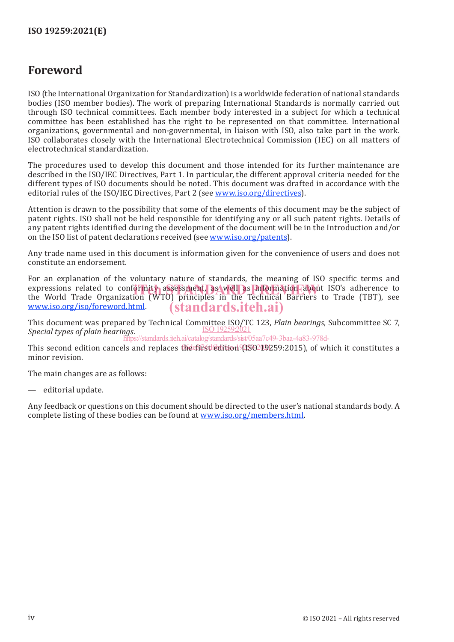### **Foreword**

ISO (the International Organization for Standardization) is a worldwide federation of national standards bodies (ISO member bodies). The work of preparing International Standards is normally carried out through ISO technical committees. Each member body interested in a subject for which a technical committee has been established has the right to be represented on that committee. International organizations, governmental and non-governmental, in liaison with ISO, also take part in the work. ISO collaborates closely with the International Electrotechnical Commission (IEC) on all matters of electrotechnical standardization.

The procedures used to develop this document and those intended for its further maintenance are described in the ISO/IEC Directives, Part 1. In particular, the different approval criteria needed for the different types of ISO documents should be noted. This document was drafted in accordance with the editorial rules of the ISO/IEC Directives, Part 2 (see www.iso.org/directives).

Attention is drawn to the possibility that some of the elements of this document may be the subject of patent rights. ISO shall not be held responsible for identifying any or all such patent rights. Details of any patent rights identified during the development of the document will be in the Introduction and/or on the ISO list of patent declarations received (see www.iso.org/patents).

Any trade name used in this document is information given for the convenience of users and does not constitute an endorsement.

For an explanation of the voluntary nature of standards, the meaning of ISO specific terms and expressions related to conformity assessment, as well as information about ISO's adherence to the World Trade the World Trade Organization (WTO) principles in the Technical Barriers to Trade (TBT), see www.iso.org/iso/foreword.html. (standards.iteh.ai)

This document was prepared by Technical Committee ISO/TC 123, *Plain bearings*, Subcommittee SC 7, *Special types of plain bearings*. ISO 19259:2021

.<br>https://standards.iteh.ai/catalog/standards/sist/05aa7c49-3baa-4a83-978d-

This second edition cancels and replaces the fifst edition (ISO 19259:2015), of which it constitutes a minor revision.

The main changes are as follows:

— editorial update.

Any feedback or questions on this document should be directed to the user's national standards body. A complete listing of these bodies can be found at www.iso.org/members.html.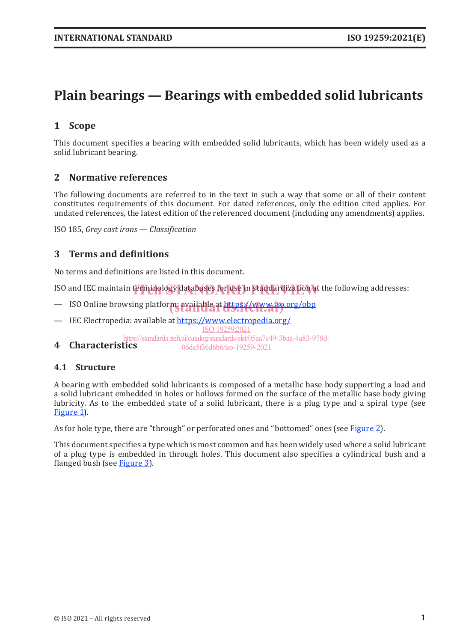## **Plain bearings — Bearings with embedded solid lubricants**

#### **1 Scope**

This document specifies a bearing with embedded solid lubricants, which has been widely used as a solid lubricant bearing.

#### **2 Normative references**

The following documents are referred to in the text in such a way that some or all of their content constitutes requirements of this document. For dated references, only the edition cited applies. For undated references, the latest edition of the referenced document (including any amendments) applies.

ISO 185, *Grey cast irons — Classification*

#### **3 Terms and definitions**

No terms and definitions are listed in this document.

ISO and IEC maintain terminology databases for use in standardization at the following addresses:

- ISO Online browsing platform: available at https://www.iso.org/obp
- IEC Electropedia: available at https://www.electropedia.org/ ISO 19259:2021

**4 Characteristics** https://standards.iteh.ai/catalog/standards/sist/05aa7c49-3baa-4a83-978d-06de5f36d6b6/iso-19259-2021

#### **4.1 Structure**

A bearing with embedded solid lubricants is composed of a metallic base body supporting a load and a solid lubricant embedded in holes or hollows formed on the surface of the metallic base body giving lubricity. As to the embedded state of a solid lubricant, there is a plug type and a spiral type (see Figure 1.

As for hole type, there are "through" or perforated ones and "bottomed" ones (see Figure 2).

This document specifies a type which is most common and has been widely used where a solid lubricant of a plug type is embedded in through holes. This document also specifies a cylindrical bush and a flanged bush (see Figure 3).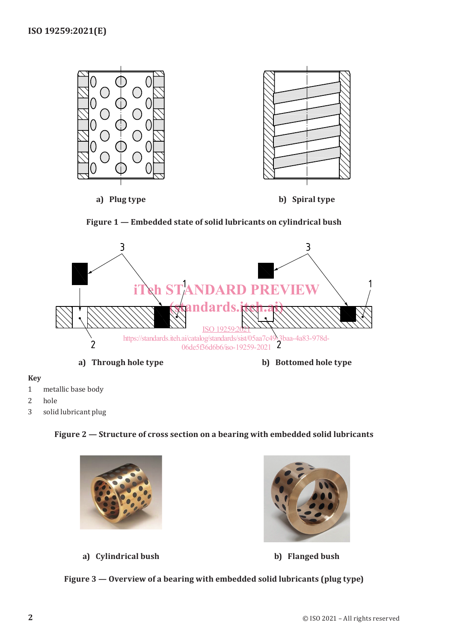





#### **Key**

- 1 metallic base body
- 2 hole
- 3 solid lubricant plug

#### **Figure 2 — Structure of cross section on a bearing with embedded solid lubricants**



**a) Cylindrical bush b) Flanged bush**

**Figure 3 — Overview of a bearing with embedded solid lubricants (plug type)**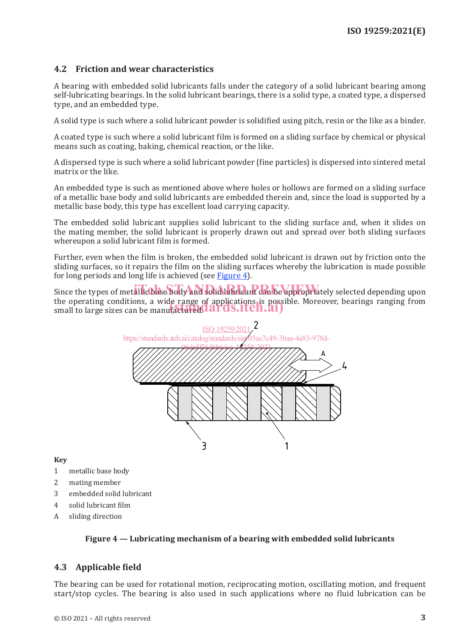#### **4.2 Friction and wear characteristics**

A bearing with embedded solid lubricants falls under the category of a solid lubricant bearing among self-lubricating bearings. In the solid lubricant bearings, there is a solid type, a coated type, a dispersed type, and an embedded type.

A solid type is such where a solid lubricant powder is solidified using pitch, resin or the like as a binder.

A coated type is such where a solid lubricant film is formed on a sliding surface by chemical or physical means such as coating, baking, chemical reaction, or the like.

A dispersed type is such where a solid lubricant powder (fine particles) is dispersed into sintered metal matrix or the like.

An embedded type is such as mentioned above where holes or hollows are formed on a sliding surface of a metallic base body and solid lubricants are embedded therein and, since the load is supported by a metallic base body, this type has excellent load carrying capacity.

The embedded solid lubricant supplies solid lubricant to the sliding surface and, when it slides on the mating member, the solid lubricant is properly drawn out and spread over both sliding surfaces whereupon a solid lubricant film is formed.

Further, even when the film is broken, the embedded solid lubricant is drawn out by friction onto the sliding surfaces, so it repairs the film on the sliding surfaces whereby the lubrication is made possible for long periods and long life is achieved (see Figure 4).

Since the types of metallic base body and solid lubricant can be appropriately selected depending upon the operating conditions, a wide range of applications is possible. Moreover, bearings ranging from the operating conditions, a wide range of applications is possi<br>small to large sizes can be manufactured. **ards.iteh.ai**)



**Key**

- 1 metallic base body
- 2 mating member
- 3 embedded solid lubricant
- 4 solid lubricant film
- A sliding direction

#### **Figure 4 — Lubricating mechanism of a bearing with embedded solid lubricants**

#### **4.3 Applicable field**

The bearing can be used for rotational motion, reciprocating motion, oscillating motion, and frequent start/stop cycles. The bearing is also used in such applications where no fluid lubrication can be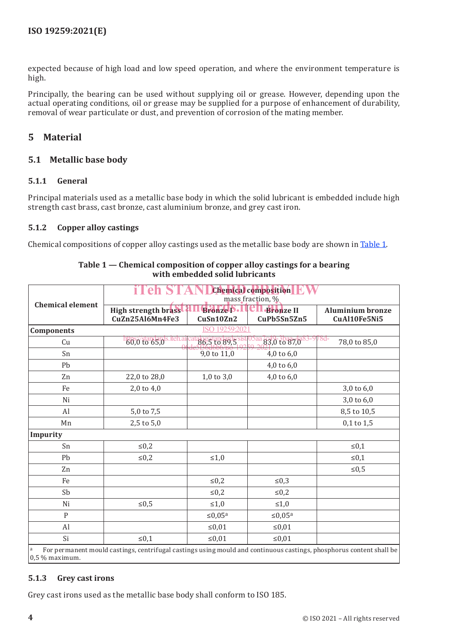expected because of high load and low speed operation, and where the environment temperature is high.

Principally, the bearing can be used without supplying oil or grease. However, depending upon the actual operating conditions, oil or grease may be supplied for a purpose of enhancement of durability, removal of wear particulate or dust, and prevention of corrosion of the mating member.

#### **5 Material**

#### **5.1 Metallic base body**

#### **5.1.1 General**

Principal materials used as a metallic base body in which the solid lubricant is embedded include high strength cast brass, cast bronze, cast aluminium bronze, and grey cast iron.

#### **5.1.2 Copper alloy castings**

Chemical compositions of copper alloy castings used as the metallic base body are shown in Table 1.

|                                                                                                                                       | <b>Chemical composition</b><br>e<br>mass fraction, % |                                 |                             |                                         |  |  |
|---------------------------------------------------------------------------------------------------------------------------------------|------------------------------------------------------|---------------------------------|-----------------------------|-----------------------------------------|--|--|
| <b>Chemical element</b>                                                                                                               | High strength brass<br>CuZn25Al6Mn4Fe3               | <b>Bronze P</b> .1<br>CuSn10Zn2 | LL-Bronze II<br>CuPb5Sn5Zn5 | <b>Aluminium bronze</b><br>CuAl10Fe5Ni5 |  |  |
| ISO 19259:2021<br><b>Components</b>                                                                                                   |                                                      |                                 |                             |                                         |  |  |
| Cu                                                                                                                                    | https://standards                                    | 86,5 to 89,5                    | $83,01087,083-9$            | '8d-<br>78,0 to 85,0                    |  |  |
| Sn                                                                                                                                    |                                                      | $9,0$ to $11,0$                 | $4,0$ to $6,0$              |                                         |  |  |
| Pb                                                                                                                                    |                                                      |                                 | 4,0 to $6,0$                |                                         |  |  |
| Zn                                                                                                                                    | 22,0 to 28,0                                         | $1,0$ to $3,0$                  | 4,0 to $6,0$                |                                         |  |  |
| Fe                                                                                                                                    | 2,0 to 4,0                                           |                                 |                             | 3,0 to 6,0                              |  |  |
| Ni                                                                                                                                    |                                                      |                                 |                             | 3,0 to 6,0                              |  |  |
| Al                                                                                                                                    | 5,0 to 7,5                                           |                                 |                             | 8,5 to 10,5                             |  |  |
| Mn                                                                                                                                    | 2,5 to 5,0                                           |                                 |                             | $0,1$ to $1,5$                          |  |  |
| Impurity                                                                                                                              |                                                      |                                 |                             |                                         |  |  |
| Sn                                                                                                                                    | $\leq 0,2$                                           |                                 |                             | $\leq 0,1$                              |  |  |
| Pb                                                                                                                                    | $\leq 0,2$                                           | $\leq 1,0$                      |                             | $≤ 0,1$                                 |  |  |
| Zn                                                                                                                                    |                                                      |                                 |                             | $\leq 0.5$                              |  |  |
| Fe                                                                                                                                    |                                                      | $\leq 0,2$                      | $\leq 0,3$                  |                                         |  |  |
| Sb                                                                                                                                    |                                                      | $\leq 0,2$                      | $≤ 0,2$                     |                                         |  |  |
| Ni                                                                                                                                    | ${\leq}0.5$                                          | $\leq 1,0$                      | $\leq 1,0$                  |                                         |  |  |
| P                                                                                                                                     |                                                      | $\leq 0.05$ <sup>a</sup>        | $\leq 0.05$ <sup>a</sup>    |                                         |  |  |
| Al                                                                                                                                    |                                                      | $≤0,01$                         | ${\leq}0.01$                |                                         |  |  |
| Si                                                                                                                                    | $\leq 0,1$                                           | $≤0,01$                         | ≤ $0,01$                    |                                         |  |  |
| For permanent mould castings, centrifugal castings using mould and continuous castings, phosphorus content shall be<br>0,5 % maximum. |                                                      |                                 |                             |                                         |  |  |

**Table 1 — Chemical composition of copper alloy castings for a bearing with embedded solid lubricants**

#### **5.1.3 Grey cast irons**

Grey cast irons used as the metallic base body shall conform to ISO 185.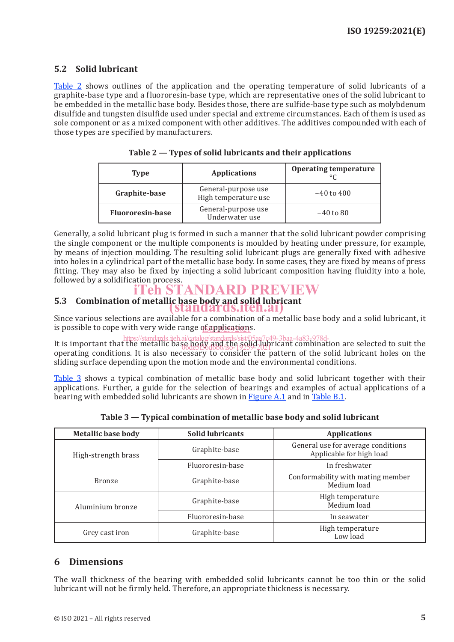#### **5.2 Solid lubricant**

Table 2 shows outlines of the application and the operating temperature of solid lubricants of a graphite-base type and a fluororesin-base type, which are representative ones of the solid lubricant to be embedded in the metallic base body. Besides those, there are sulfide-base type such as molybdenum disulfide and tungsten disulfide used under special and extreme circumstances. Each of them is used as sole component or as a mixed component with other additives. The additives compounded with each of those types are specified by manufacturers.

| Type                    | <b>Applications</b>                         | <b>Operating temperature</b><br>$\circ$ |
|-------------------------|---------------------------------------------|-----------------------------------------|
| Graphite-base           | General-purpose use<br>High temperature use | $-40$ to $400$                          |
| <b>Fluororesin-base</b> | General-purpose use<br>Underwater use       | $-40$ to 80                             |

**Table 2 — Types of solid lubricants and their applications**

Generally, a solid lubricant plug is formed in such a manner that the solid lubricant powder comprising the single component or the multiple components is moulded by heating under pressure, for example, by means of injection moulding. The resulting solid lubricant plugs are generally fixed with adhesive into holes in a cylindrical part of the metallic base body. In some cases, they are fixed by means of press fitting. They may also be fixed by injecting a solid lubricant composition having fluidity into a hole, followed by a solidification process.

### iTeh STANDARD PREVIEW

## **5.3 Combination of metallic base body and solid lubricant** (standards.iteh.ai)

Since various selections are available for a combination of a metallic base body and a solid lubricant, it is possible to cope with very wide range of appl<u>ication</u>s.

It is important that the metallic base body and the solid lubricant combination are selected to suit the operating conditions. It is also necessary to consider the pattern of the solid lubricant holes on the sliding surface depending upon the motion mode and the environmental conditions. https://standards.iteh.ai/catalog/standards/sist/05aa7c49-3baa-4a83-978d-06de5f36d6b6/iso-19259-2021

Table 3 shows a typical combination of metallic base body and solid lubricant together with their applications. Further, a guide for the selection of bearings and examples of actual applications of a bearing with embedded solid lubricants are shown in Figure A.1 and in Table B.1.

| <b>Metallic base body</b> | <b>Solid lubricants</b> | <b>Applications</b>                                            |
|---------------------------|-------------------------|----------------------------------------------------------------|
| High-strength brass       | Graphite-base           | General use for average conditions<br>Applicable for high load |
|                           | Fluororesin-base        | In freshwater                                                  |
| <b>Bronze</b>             | Graphite-base           | Conformability with mating member<br>Medium load               |
| Aluminium bronze          | Graphite-base           | High temperature<br>Medium load                                |
|                           | Fluororesin-base        | In seawater                                                    |
| Grey cast iron            | Graphite-base           | High temperature<br>Low load                                   |

**Table 3 — Typical combination of metallic base body and solid lubricant**

#### **6 Dimensions**

The wall thickness of the bearing with embedded solid lubricants cannot be too thin or the solid lubricant will not be firmly held. Therefore, an appropriate thickness is necessary.